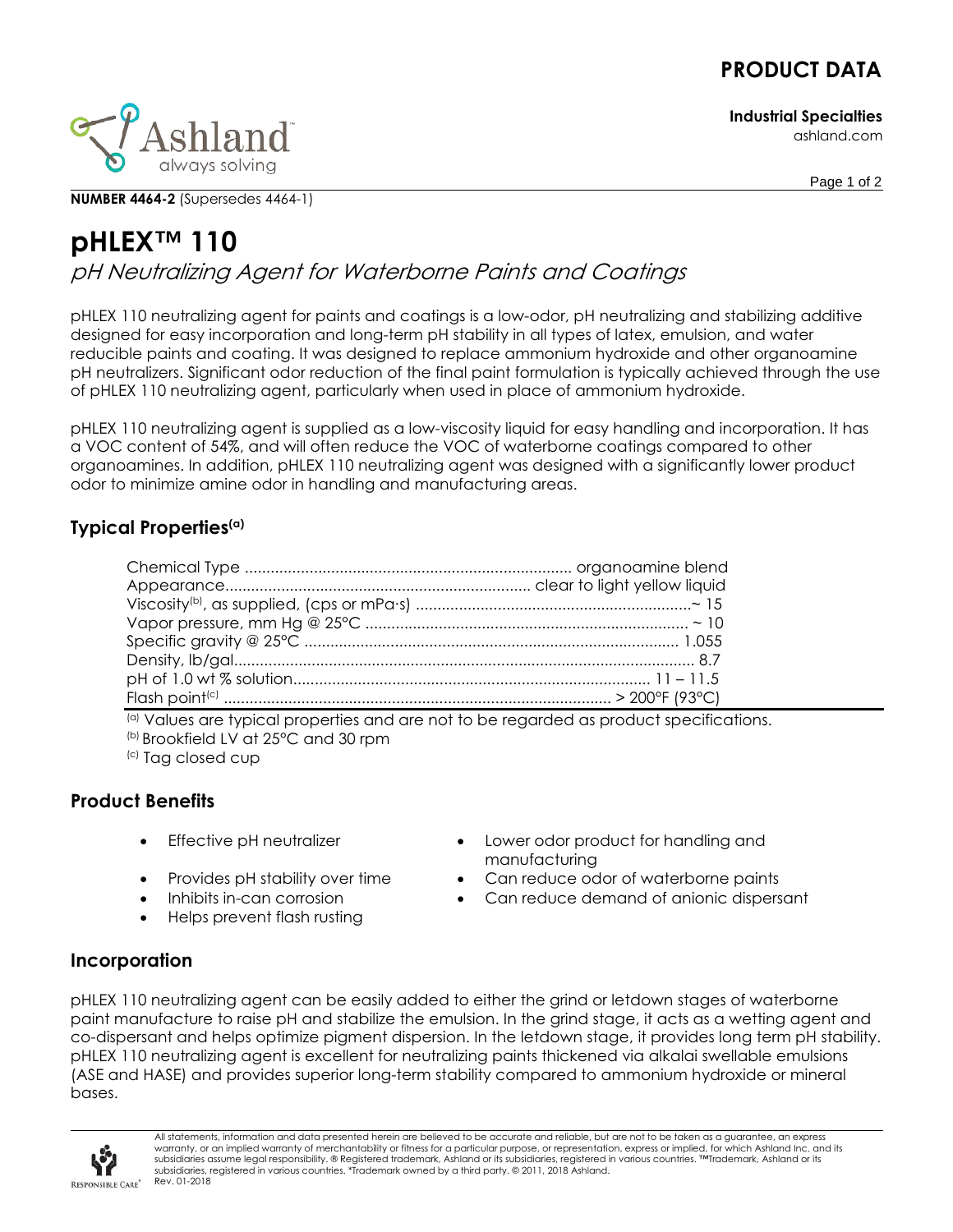# **PRODUCT DATA**

**Industrial Specialties** ashland.com



**NUMBER 4464-2** (Supersedes 4464-1)

Page 1 of 2

# **pHLEX™ 110** pH Neutralizing Agent for Waterborne Paints and Coatings

pHLEX 110 neutralizing agent for paints and coatings is a low-odor, pH neutralizing and stabilizing additive designed for easy incorporation and long-term pH stability in all types of latex, emulsion, and water reducible paints and coating. It was designed to replace ammonium hydroxide and other organoamine pH neutralizers. Significant odor reduction of the final paint formulation is typically achieved through the use of pHLEX 110 neutralizing agent, particularly when used in place of ammonium hydroxide.

pHLEX 110 neutralizing agent is supplied as a low-viscosity liquid for easy handling and incorporation. It has a VOC content of 54%, and will often reduce the VOC of waterborne coatings compared to other organoamines. In addition, pHLEX 110 neutralizing agent was designed with a significantly lower product odor to minimize amine odor in handling and manufacturing areas.

### **Typical Properties(a)**

(a) Values are typical properties and are not to be regarded as product specifications. (b) Brookfield LV at 25°C and 30 rpm

(c) Tag closed cup

## **Product Benefits**

- 
- 
- 
- Helps prevent flash rusting
- Effective pH neutralizer Lower odor product for handling and manufacturing
- Provides pH stability over time Can reduce odor of waterborne paints
- Inhibits in-can corrosion Can reduce demand of anionic dispersant

#### **Incorporation**

pHLEX 110 neutralizing agent can be easily added to either the grind or letdown stages of waterborne paint manufacture to raise pH and stabilize the emulsion. In the grind stage, it acts as a wetting agent and co-dispersant and helps optimize pigment dispersion. In the letdown stage, it provides long term pH stability. pHLEX 110 neutralizing agent is excellent for neutralizing paints thickened via alkalai swellable emulsions (ASE and HASE) and provides superior long-term stability compared to ammonium hydroxide or mineral bases.